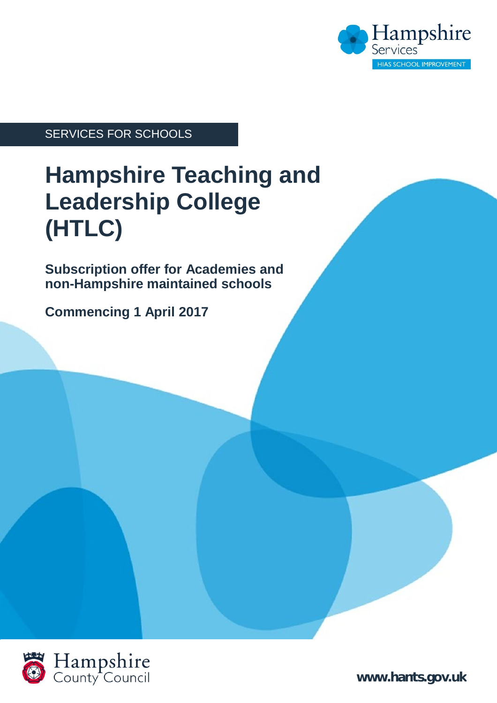

#### SERVICES FOR SCHOOLS

# **Hampshire Teaching and Leadership College (HTLC)**

**Subscription offer for Academies and non-Hampshire maintained schools**

**Commencing 1 April 2017**



**[www.hants.gov.uk](http://www.hants.gov.uk)**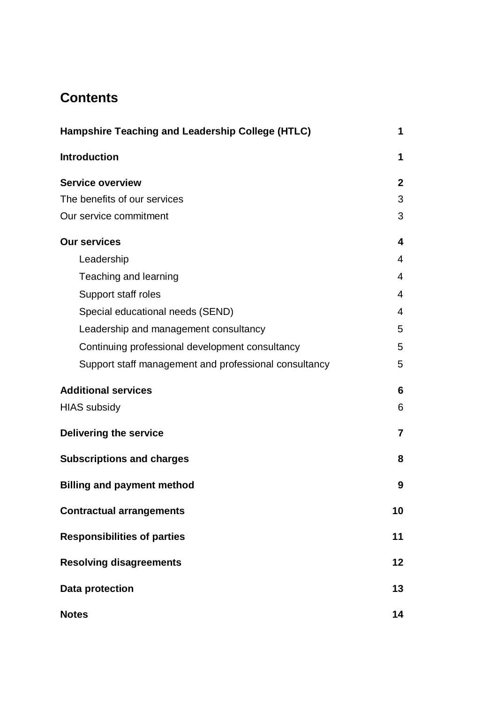### **Contents**

| Hampshire Teaching and Leadership College (HTLC)      |                |
|-------------------------------------------------------|----------------|
| <b>Introduction</b>                                   | 1              |
| <b>Service overview</b>                               | $\mathbf{2}$   |
| The benefits of our services                          | 3              |
| Our service commitment                                | 3              |
| <b>Our services</b>                                   | 4              |
| Leadership                                            | $\overline{4}$ |
| Teaching and learning                                 | $\overline{4}$ |
| Support staff roles                                   | 4              |
| Special educational needs (SEND)                      | $\overline{4}$ |
| Leadership and management consultancy                 | 5              |
| Continuing professional development consultancy       | 5              |
| Support staff management and professional consultancy | 5              |
| <b>Additional services</b>                            | 6              |
| <b>HIAS subsidy</b>                                   | 6              |
| <b>Delivering the service</b>                         | $\overline{7}$ |
| <b>Subscriptions and charges</b>                      | 8              |
| <b>Billing and payment method</b>                     | 9              |
| <b>Contractual arrangements</b>                       | 10             |
| <b>Responsibilities of parties</b>                    | 11             |
| <b>Resolving disagreements</b>                        | 12             |
| <b>Data protection</b>                                | 13             |
| <b>Notes</b>                                          | 14             |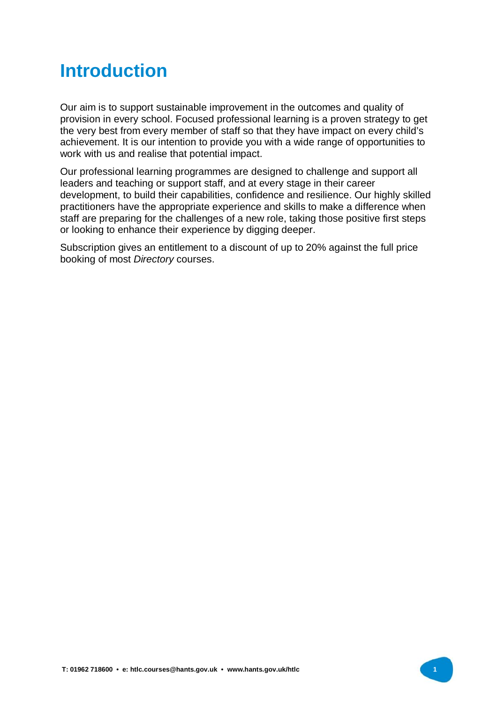## **Introduction**

Our aim is to support sustainable improvement in the outcomes and quality of provision in every school. Focused professional learning is a proven strategy to get the very best from every member of staff so that they have impact on every child's achievement. It is our intention to provide you with a wide range of opportunities to work with us and realise that potential impact.

Our professional learning programmes are designed to challenge and support all leaders and teaching or support staff, and at every stage in their career development, to build their capabilities, confidence and resilience. Our highly skilled practitioners have the appropriate experience and skills to make a difference when staff are preparing for the challenges of a new role, taking those positive first steps or looking to enhance their experience by digging deeper.

Subscription gives an entitlement to a discount of up to 20% against the full price booking of most *Directory* courses.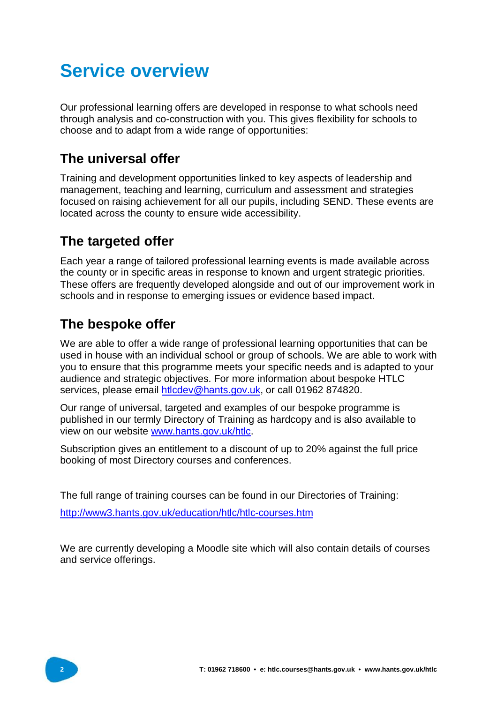## **Service overview**

Our professional learning offers are developed in response to what schools need through analysis and co-construction with you. This gives flexibility for schools to choose and to adapt from a wide range of opportunities:

### **The universal offer**

Training and development opportunities linked to key aspects of leadership and management, teaching and learning, curriculum and assessment and strategies focused on raising achievement for all our pupils, including SEND. These events are located across the county to ensure wide accessibility.

### **The targeted offer**

Each year a range of tailored professional learning events is made available across the county or in specific areas in response to known and urgent strategic priorities. These offers are frequently developed alongside and out of our improvement work in schools and in response to emerging issues or evidence based impact.

### **The bespoke offer**

We are able to offer a wide range of professional learning opportunities that can be used in house with an individual school or group of schools. We are able to work with you to ensure that this programme meets your specific needs and is adapted to your audience and strategic objectives. For more information about bespoke HTLC services, please email [htlcdev@hants.gov.uk,](mailto:htlcdev@hants.gov.uk,) or call 01962 874820.

Our range of universal, targeted and examples of our bespoke programme is published in our termly Directory of Training as hardcopy and is also available to view on our website [www.hants.gov.uk/htlc.](http://www.hants.gov.uk/htlc.) 

Subscription gives an entitlement to a discount of up to 20% against the full price booking of most Directory courses and conferences.

The full range of training courses can be found in our Directories of Training:

<http://www3.hants.gov.uk/education/htlc/htlc-courses.htm>

We are currently developing a Moodle site which will also contain details of courses and service offerings.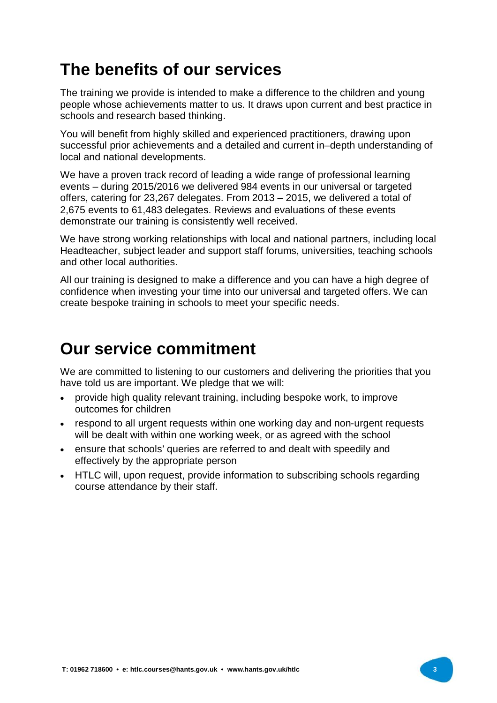### **The benefits of our services**

The training we provide is intended to make a difference to the children and young people whose achievements matter to us. It draws upon current and best practice in schools and research based thinking.

You will benefit from highly skilled and experienced practitioners, drawing upon successful prior achievements and a detailed and current in–depth understanding of local and national developments.

We have a proven track record of leading a wide range of professional learning events – during 2015/2016 we delivered 984 events in our universal or targeted offers, catering for 23,267 delegates. From 2013 – 2015, we delivered a total of 2,675 events to 61,483 delegates. Reviews and evaluations of these events demonstrate our training is consistently well received.

We have strong working relationships with local and national partners, including local Headteacher, subject leader and support staff forums, universities, teaching schools and other local authorities.

All our training is designed to make a difference and you can have a high degree of confidence when investing your time into our universal and targeted offers. We can create bespoke training in schools to meet your specific needs.

### **Our service commitment**

We are committed to listening to our customers and delivering the priorities that you have told us are important. We pledge that we will:

- provide high quality relevant training, including bespoke work, to improve outcomes for children
- respond to all urgent requests within one working day and non-urgent requests will be dealt with within one working week, or as agreed with the school
- ensure that schools' queries are referred to and dealt with speedily and effectively by the appropriate person
- HTLC will, upon request, provide information to subscribing schools regarding course attendance by their staff.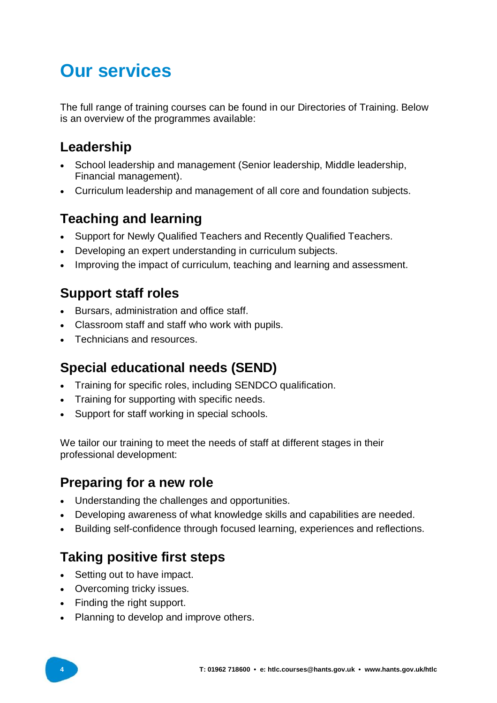## **Our services**

The full range of training courses can be found in our Directories of Training. Below is an overview of the programmes available:

### **Leadership**

- School leadership and management (Senior leadership, Middle leadership, Financial management).
- Curriculum leadership and management of all core and foundation subjects.

### **Teaching and learning**

- Support for Newly Qualified Teachers and Recently Qualified Teachers.
- Developing an expert understanding in curriculum subjects.
- Improving the impact of curriculum, teaching and learning and assessment.

### **Support staff roles**

- Bursars, administration and office staff.
- Classroom staff and staff who work with pupils.
- Technicians and resources.

### **Special educational needs (SEND)**

- Training for specific roles, including SENDCO qualification.
- Training for supporting with specific needs.
- Support for staff working in special schools.

We tailor our training to meet the needs of staff at different stages in their professional development:

### **Preparing for a new role**

- Understanding the challenges and opportunities.
- Developing awareness of what knowledge skills and capabilities are needed.
- Building self-confidence through focused learning, experiences and reflections.

### **Taking positive first steps**

- Setting out to have impact.
- Overcoming tricky issues.
- Finding the right support.
- Planning to develop and improve others.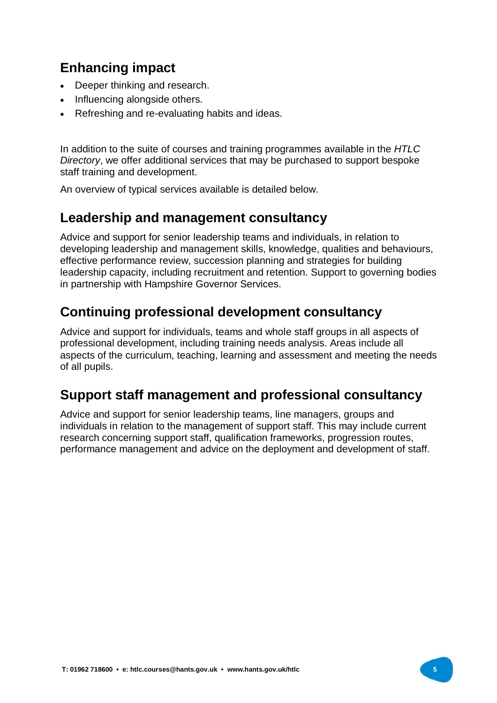### **Enhancing impact**

- Deeper thinking and research.
- Influencing alongside others.
- Refreshing and re-evaluating habits and ideas.

In addition to the suite of courses and training programmes available in the *HTLC Directory*, we offer additional services that may be purchased to support bespoke staff training and development.

An overview of typical services available is detailed below.

#### **Leadership and management consultancy**

Advice and support for senior leadership teams and individuals, in relation to developing leadership and management skills, knowledge, qualities and behaviours, effective performance review, succession planning and strategies for building leadership capacity, including recruitment and retention. Support to governing bodies in partnership with Hampshire Governor Services.

#### **Continuing professional development consultancy**

Advice and support for individuals, teams and whole staff groups in all aspects of professional development, including training needs analysis. Areas include all aspects of the curriculum, teaching, learning and assessment and meeting the needs of all pupils.

#### **Support staff management and professional consultancy**

Advice and support for senior leadership teams, line managers, groups and individuals in relation to the management of support staff. This may include current research concerning support staff, qualification frameworks, progression routes, performance management and advice on the deployment and development of staff.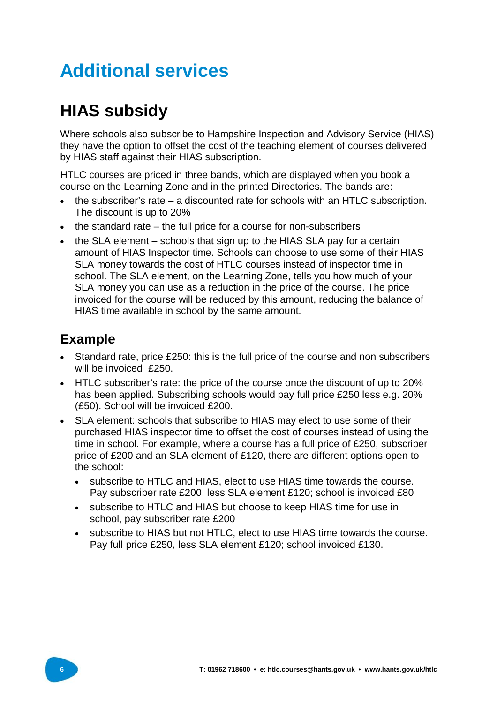# **Additional services**

## **HIAS subsidy**

Where schools also subscribe to Hampshire Inspection and Advisory Service (HIAS) they have the option to offset the cost of the teaching element of courses delivered by HIAS staff against their HIAS subscription.

HTLC courses are priced in three bands, which are displayed when you book a course on the Learning Zone and in the printed Directories. The bands are:

- the subscriber's rate a discounted rate for schools with an HTLC subscription. The discount is up to 20%
- $\bullet$  the standard rate the full price for a course for non-subscribers
- $\bullet$  the SLA element schools that sign up to the HIAS SLA pay for a certain amount of HIAS Inspector time. Schools can choose to use some of their HIAS SLA money towards the cost of HTLC courses instead of inspector time in school. The SLA element, on the Learning Zone, tells you how much of your SLA money you can use as a reduction in the price of the course. The price invoiced for the course will be reduced by this amount, reducing the balance of HIAS time available in school by the same amount.

### **Example**

- Standard rate, price £250: this is the full price of the course and non subscribers will be invoiced £250.
- HTLC subscriber's rate: the price of the course once the discount of up to 20% has been applied. Subscribing schools would pay full price £250 less e.g. 20% (£50). School will be invoiced £200.
- SLA element: schools that subscribe to HIAS may elect to use some of their purchased HIAS inspector time to offset the cost of courses instead of using the time in school. For example, where a course has a full price of £250, subscriber price of £200 and an SLA element of £120, there are different options open to the school:
	- subscribe to HTLC and HIAS, elect to use HIAS time towards the course. Pay subscriber rate £200, less SLA element £120; school is invoiced £80
	- subscribe to HTLC and HIAS but choose to keep HIAS time for use in school, pay subscriber rate £200
	- subscribe to HIAS but not HTLC, elect to use HIAS time towards the course. Pay full price £250, less SLA element £120; school invoiced £130.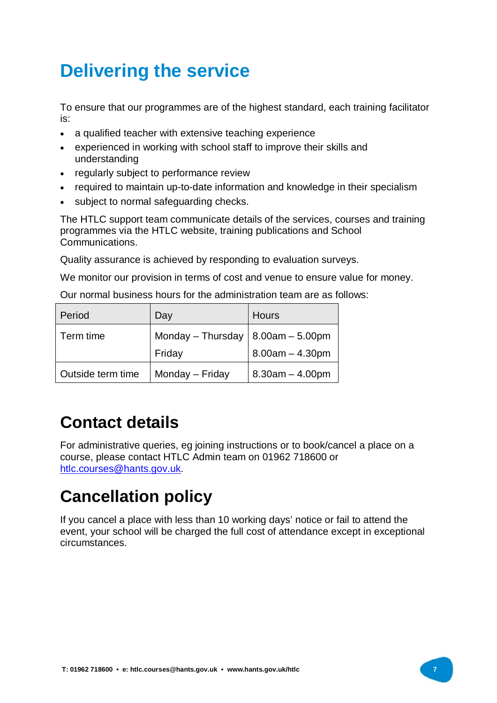# **Delivering the service**

To ensure that our programmes are of the highest standard, each training facilitator is:

- a qualified teacher with extensive teaching experience
- experienced in working with school staff to improve their skills and understanding
- regularly subject to performance review
- required to maintain up-to-date information and knowledge in their specialism
- subject to normal safeguarding checks.

The HTLC support team communicate details of the services, courses and training programmes via the HTLC website, training publications and School Communications.

Quality assurance is achieved by responding to evaluation surveys.

We monitor our provision in terms of cost and venue to ensure value for money.

Our normal business hours for the administration team are as follows:

| Period            | Day               | <b>Hours</b>        |
|-------------------|-------------------|---------------------|
| Term time         | Monday - Thursday | $  8.00am - 5.00pm$ |
|                   | Friday            | $8.00am - 4.30pm$   |
| Outside term time | Monday - Friday   | $8.30am - 4.00pm$   |

### **Contact details**

For administrative queries, eg joining instructions or to book/cancel a place on a course, please contact HTLC Admin team on 01962 718600 or [htlc.courses@hants.gov.uk.](mailto:htlc.courses@hants.gov.uk.) 

### **Cancellation policy**

If you cancel a place with less than 10 working days' notice or fail to attend the event, your school will be charged the full cost of attendance except in exceptional circumstances.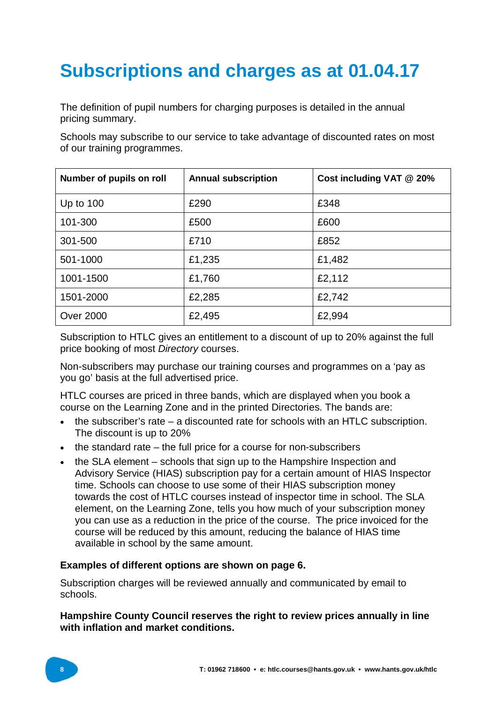# **Subscriptions and charges as at 01.04.17**

The definition of pupil numbers for charging purposes is detailed in the annual pricing summary.

Schools may subscribe to our service to take advantage of discounted rates on most of our training programmes.

| Number of pupils on roll | <b>Annual subscription</b> | Cost including VAT @ 20% |
|--------------------------|----------------------------|--------------------------|
| Up to $100$              | £290                       | £348                     |
| 101-300                  | £500                       | £600                     |
| 301-500                  | £710                       | £852                     |
| 501-1000                 | £1,235                     | £1,482                   |
| 1001-1500                | £1,760                     | £2,112                   |
| 1501-2000                | £2,285                     | £2,742                   |
| <b>Over 2000</b>         | £2,495                     | £2,994                   |

Subscription to HTLC gives an entitlement to a discount of up to 20% against the full price booking of most *Directory* courses.

Non-subscribers may purchase our training courses and programmes on a 'pay as you go' basis at the full advertised price.

HTLC courses are priced in three bands, which are displayed when you book a course on the Learning Zone and in the printed Directories. The bands are:

- $\bullet$  the subscriber's rate a discounted rate for schools with an HTLC subscription. The discount is up to 20%
- $\bullet$  the standard rate the full price for a course for non-subscribers
- the SLA element schools that sign up to the Hampshire Inspection and Advisory Service (HIAS) subscription pay for a certain amount of HIAS Inspector time. Schools can choose to use some of their HIAS subscription money towards the cost of HTLC courses instead of inspector time in school. The SLA element, on the Learning Zone, tells you how much of your subscription money you can use as a reduction in the price of the course. The price invoiced for the course will be reduced by this amount, reducing the balance of HIAS time available in school by the same amount.

#### **Examples of different options are shown on page 6.**

Subscription charges will be reviewed annually and communicated by email to schools.

#### **Hampshire County Council reserves the right to review prices annually in line with inflation and market conditions.**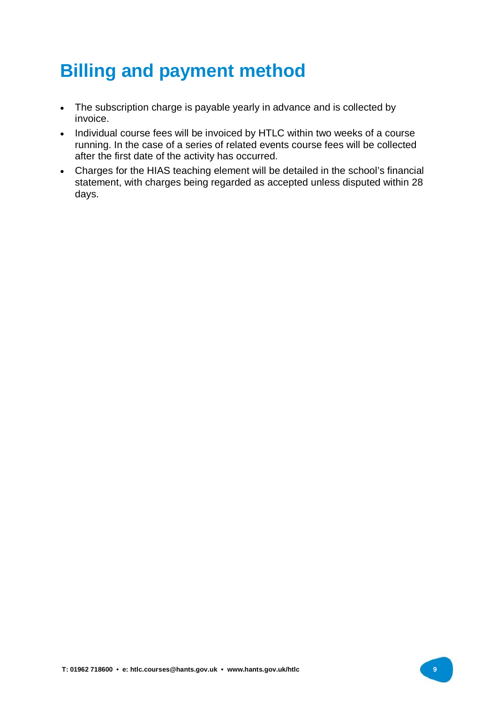## **Billing and payment method**

- The subscription charge is payable yearly in advance and is collected by invoice.
- Individual course fees will be invoiced by HTLC within two weeks of a course running. In the case of a series of related events course fees will be collected after the first date of the activity has occurred.
- Charges for the HIAS teaching element will be detailed in the school's financial statement, with charges being regarded as accepted unless disputed within 28 days.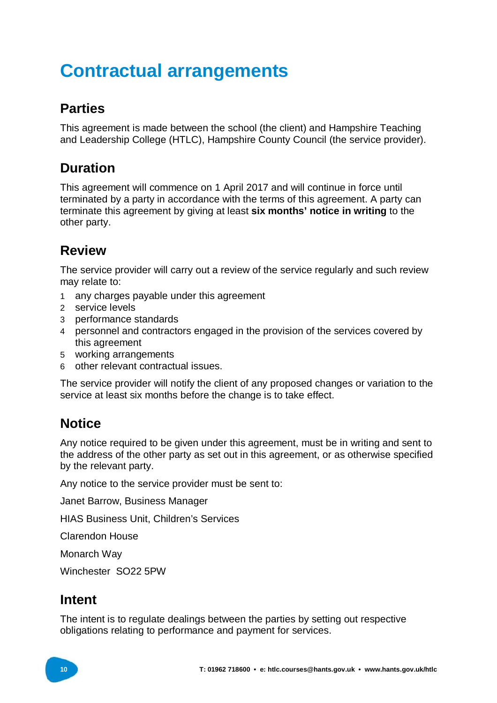# **Contractual arrangements**

### **Parties**

This agreement is made between the school (the client) and Hampshire Teaching and Leadership College (HTLC), Hampshire County Council (the service provider).

### **Duration**

This agreement will commence on 1 April 2017 and will continue in force until terminated by a party in accordance with the terms of this agreement. A party can terminate this agreement by giving at least **six months' notice in writing** to the other party.

### **Review**

The service provider will carry out a review of the service regularly and such review may relate to:

- 1 any charges payable under this agreement
- 2 service levels
- 3 performance standards
- 4 personnel and contractors engaged in the provision of the services covered by this agreement
- 5 working arrangements
- 6 other relevant contractual issues.

The service provider will notify the client of any proposed changes or variation to the service at least six months before the change is to take effect.

### **Notice**

Any notice required to be given under this agreement, must be in writing and sent to the address of the other party as set out in this agreement, or as otherwise specified by the relevant party.

Any notice to the service provider must be sent to:

Janet Barrow, Business Manager

HIAS Business Unit, Children's Services

Clarendon House

Monarch Way

Winchester SO22 5PW

#### **Intent**

The intent is to regulate dealings between the parties by setting out respective obligations relating to performance and payment for services.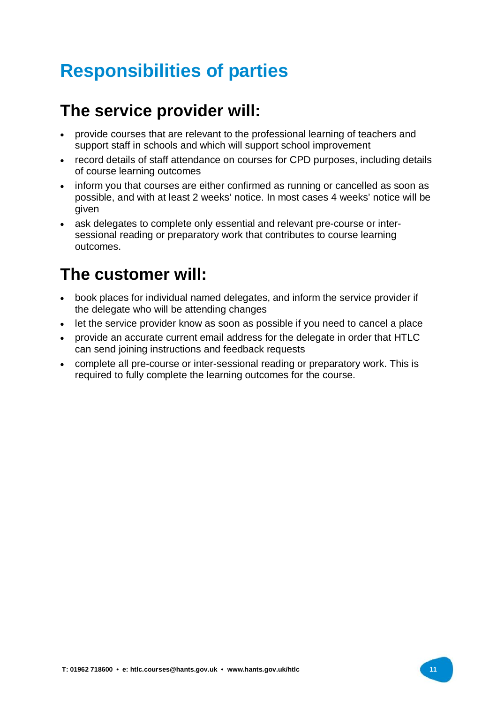# **Responsibilities of parties**

### **The service provider will:**

- provide courses that are relevant to the professional learning of teachers and support staff in schools and which will support school improvement
- record details of staff attendance on courses for CPD purposes, including details of course learning outcomes
- inform you that courses are either confirmed as running or cancelled as soon as possible, and with at least 2 weeks' notice. In most cases 4 weeks' notice will be given
- ask delegates to complete only essential and relevant pre-course or intersessional reading or preparatory work that contributes to course learning outcomes.

### **The customer will:**

- book places for individual named delegates, and inform the service provider if the delegate who will be attending changes
- let the service provider know as soon as possible if you need to cancel a place
- provide an accurate current email address for the delegate in order that HTLC can send joining instructions and feedback requests
- complete all pre-course or inter-sessional reading or preparatory work. This is required to fully complete the learning outcomes for the course.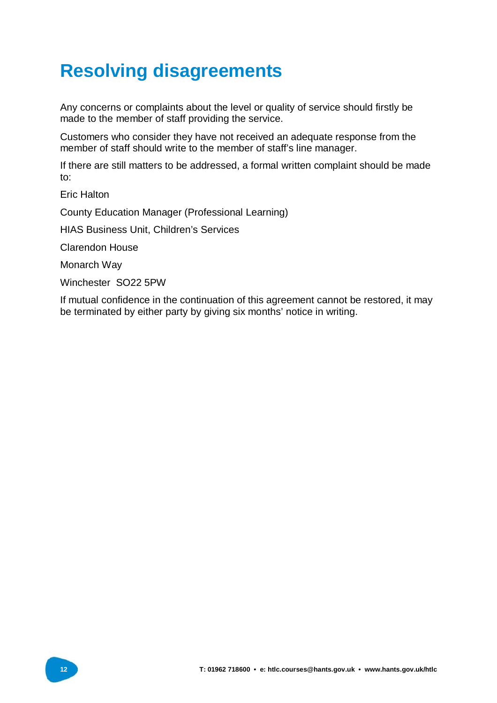## **Resolving disagreements**

Any concerns or complaints about the level or quality of service should firstly be made to the member of staff providing the service.

Customers who consider they have not received an adequate response from the member of staff should write to the member of staff's line manager.

If there are still matters to be addressed, a formal written complaint should be made to:

Eric Halton

County Education Manager (Professional Learning)

HIAS Business Unit, Children's Services

Clarendon House

Monarch Way

Winchester SO22 5PW

If mutual confidence in the continuation of this agreement cannot be restored, it may be terminated by either party by giving six months' notice in writing.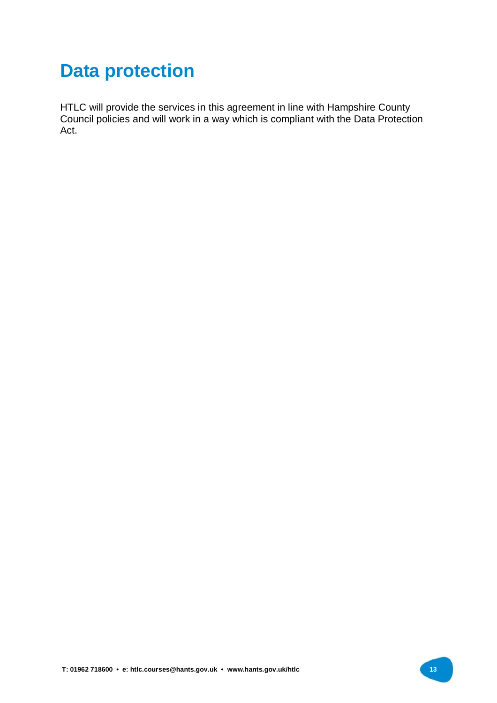## **Data protection**

HTLC will provide the services in this agreement in line with Hampshire County Council policies and will work in a way which is compliant with the Data Protection Act.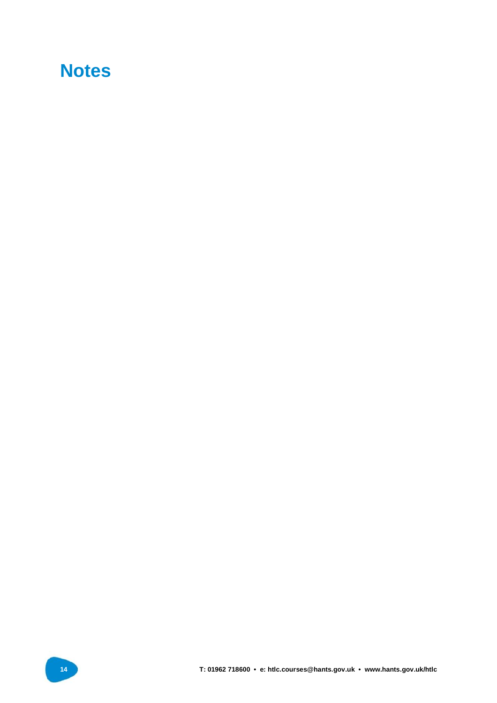### **Notes**